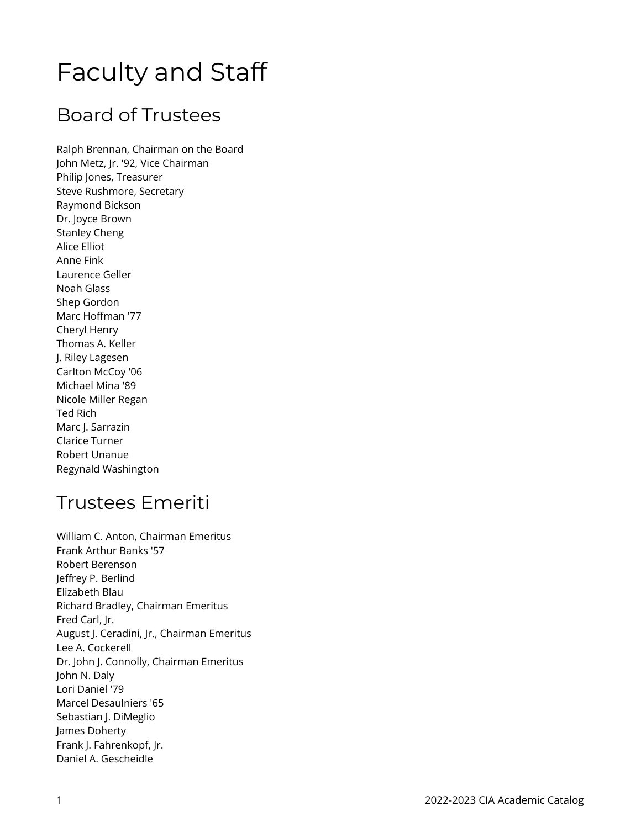# Faculty and Staff

### Board of Trustees

Ralph Brennan, Chairman on the Board John Metz, Jr. '92, Vice Chairman Philip Jones, Treasurer Steve Rushmore, Secretary Raymond Bickson Dr. Joyce Brown Stanley Cheng Alice Elliot Anne Fink Laurence Geller Noah Glass Shep Gordon Marc Hoffman '77 Cheryl Henry Thomas A. Keller J. Riley Lagesen Carlton McCoy '06 Michael Mina '89 Nicole Miller Regan Ted Rich Marc J. Sarrazin Clarice Turner Robert Unanue Regynald Washington

### Trustees Emeriti

William C. Anton, Chairman Emeritus Frank Arthur Banks '57 Robert Berenson Jeffrey P. Berlind Elizabeth Blau Richard Bradley, Chairman Emeritus Fred Carl, Jr. August J. Ceradini, Jr., Chairman Emeritus Lee A. Cockerell Dr. John J. Connolly, Chairman Emeritus John N. Daly Lori Daniel '79 Marcel Desaulniers '65 Sebastian J. DiMeglio James Doherty Frank J. Fahrenkopf, Jr. Daniel A. Gescheidle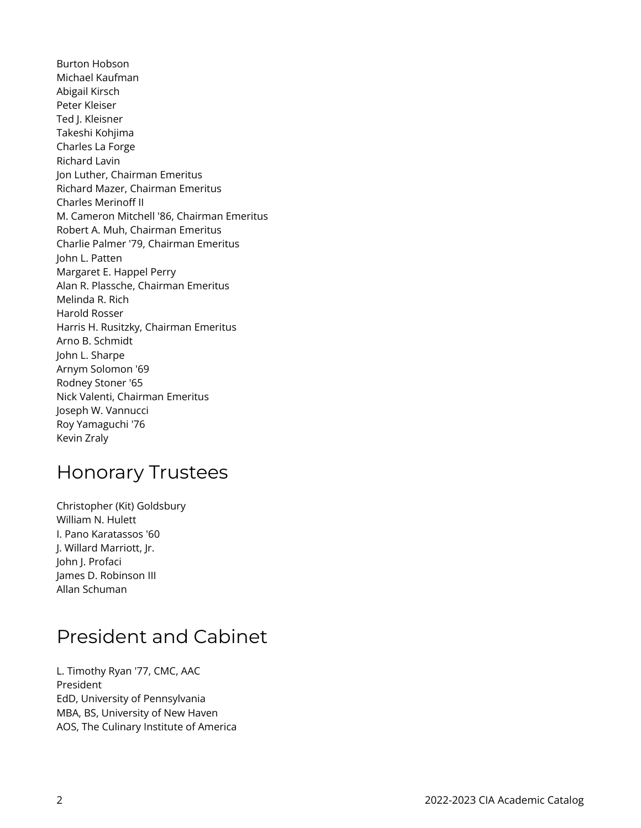Burton Hobson Michael Kaufman Abigail Kirsch Peter Kleiser Ted J. Kleisner Takeshi Kohjima Charles La Forge Richard Lavin Jon Luther, Chairman Emeritus Richard Mazer, Chairman Emeritus Charles Merinoff II M. Cameron Mitchell '86, Chairman Emeritus Robert A. Muh, Chairman Emeritus Charlie Palmer '79, Chairman Emeritus John L. Patten Margaret E. Happel Perry Alan R. Plassche, Chairman Emeritus Melinda R. Rich Harold Rosser Harris H. Rusitzky, Chairman Emeritus Arno B. Schmidt John L. Sharpe Arnym Solomon '69 Rodney Stoner '65 Nick Valenti, Chairman Emeritus Joseph W. Vannucci Roy Yamaguchi '76 Kevin Zraly

### Honorary Trustees

Christopher (Kit) Goldsbury William N. Hulett I. Pano Karatassos '60 J. Willard Marriott, Jr. John J. Profaci James D. Robinson III Allan Schuman

### President and Cabinet

L. Timothy Ryan '77, CMC, AAC President EdD, University of Pennsylvania MBA, BS, University of New Haven AOS, The Culinary Institute of America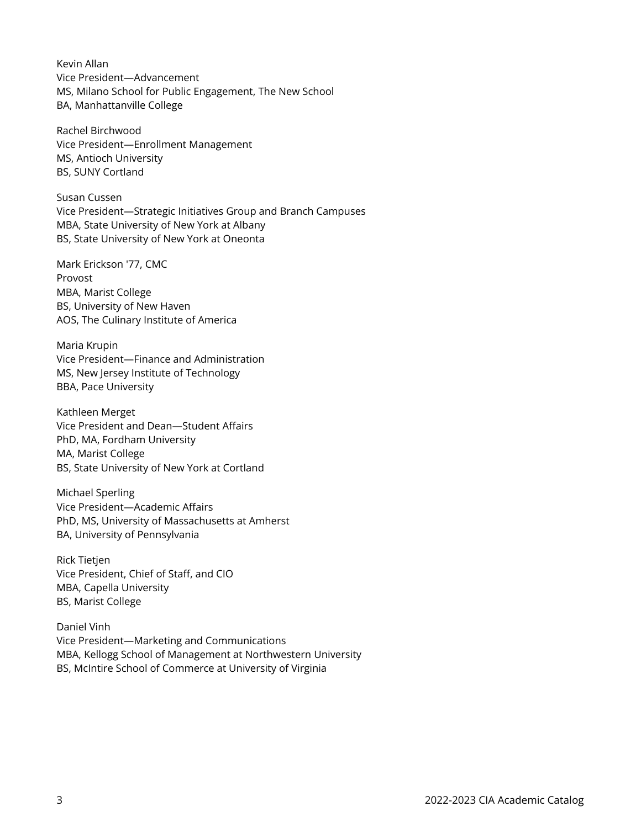Kevin Allan Vice President—Advancement MS, Milano School for Public Engagement, The New School BA, Manhattanville College

Rachel Birchwood Vice President—Enrollment Management MS, Antioch University BS, SUNY Cortland

Susan Cussen Vice President—Strategic Initiatives Group and Branch Campuses MBA, State University of New York at Albany BS, State University of New York at Oneonta

Mark Erickson '77, CMC Provost MBA, Marist College BS, University of New Haven AOS, The Culinary Institute of America

Maria Krupin Vice President—Finance and Administration MS, New Jersey Institute of Technology BBA, Pace University

Kathleen Merget Vice President and Dean—Student Affairs PhD, MA, Fordham University MA, Marist College BS, State University of New York at Cortland

Michael Sperling Vice President—Academic Affairs PhD, MS, University of Massachusetts at Amherst BA, University of Pennsylvania

Rick Tietjen Vice President, Chief of Staff, and CIO MBA, Capella University BS, Marist College

Daniel Vinh Vice President—Marketing and Communications MBA, Kellogg School of Management at Northwestern University BS, McIntire School of Commerce at University of Virginia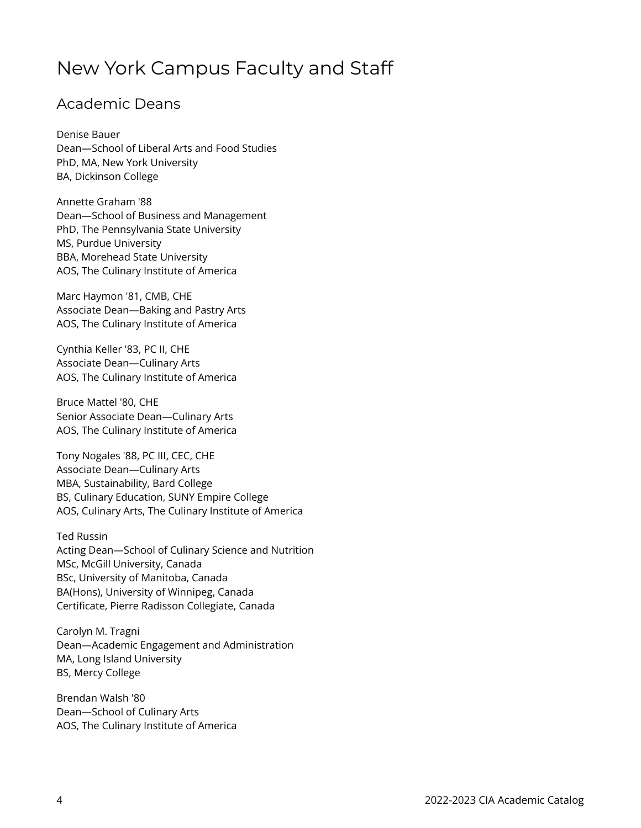### New York Campus Faculty and Staff

#### Academic Deans

Denise Bauer Dean—School of Liberal Arts and Food Studies PhD, MA, New York University BA, Dickinson College

Annette Graham '88 Dean—School of Business and Management PhD, The Pennsylvania State University MS, Purdue University BBA, Morehead State University AOS, The Culinary Institute of America

Marc Haymon '81, CMB, CHE Associate Dean—Baking and Pastry Arts AOS, The Culinary Institute of America

Cynthia Keller '83, PC II, CHE Associate Dean—Culinary Arts AOS, The Culinary Institute of America

Bruce Mattel '80, CHE Senior Associate Dean—Culinary Arts AOS, The Culinary Institute of America

Tony Nogales '88, PC III, CEC, CHE Associate Dean—Culinary Arts MBA, Sustainability, Bard College BS, Culinary Education, SUNY Empire College AOS, Culinary Arts, The Culinary Institute of America

Ted Russin Acting Dean—School of Culinary Science and Nutrition MSc, McGill University, Canada BSc, University of Manitoba, Canada BA(Hons), University of Winnipeg, Canada Certificate, Pierre Radisson Collegiate, Canada

Carolyn M. Tragni Dean—Academic Engagement and Administration MA, Long Island University BS, Mercy College

Brendan Walsh '80 Dean—School of Culinary Arts AOS, The Culinary Institute of America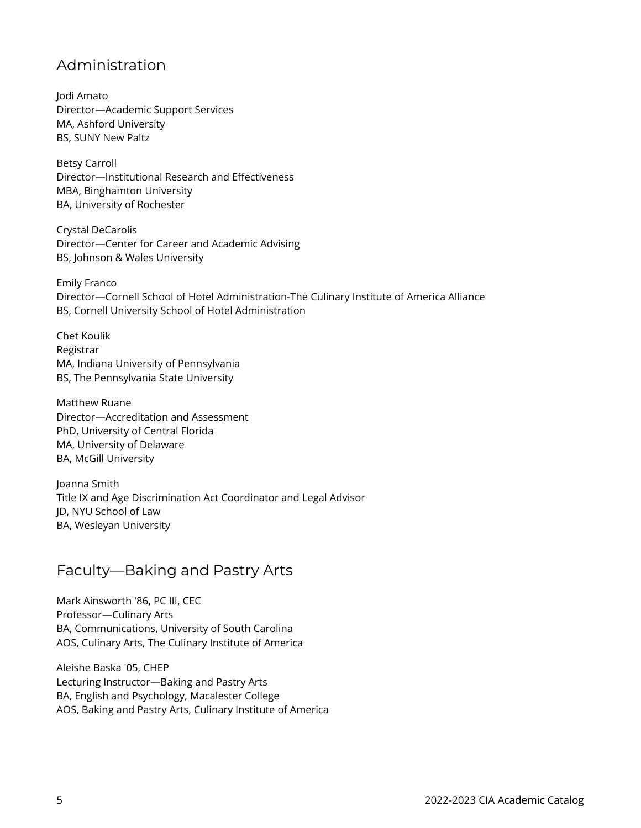#### Administration

Jodi Amato Director—Academic Support Services MA, Ashford University BS, SUNY New Paltz

Betsy Carroll Director—Institutional Research and Effectiveness MBA, Binghamton University BA, University of Rochester

Crystal DeCarolis Director—Center for Career and Academic Advising BS, Johnson & Wales University

Emily Franco Director—Cornell School of Hotel Administration-The Culinary Institute of America Alliance BS, Cornell University School of Hotel Administration

Chet Koulik Registrar MA, Indiana University of Pennsylvania BS, The Pennsylvania State University

Matthew Ruane Director—Accreditation and Assessment PhD, University of Central Florida MA, University of Delaware BA, McGill University

Joanna Smith Title IX and Age Discrimination Act Coordinator and Legal Advisor JD, NYU School of Law BA, Wesleyan University

#### Faculty—Baking and Pastry Arts

Mark Ainsworth '86, PC III, CEC Professor—Culinary Arts BA, Communications, University of South Carolina AOS, Culinary Arts, The Culinary Institute of America

Aleishe Baska '05, CHEP Lecturing Instructor—Baking and Pastry Arts BA, English and Psychology, Macalester College AOS, Baking and Pastry Arts, Culinary Institute of America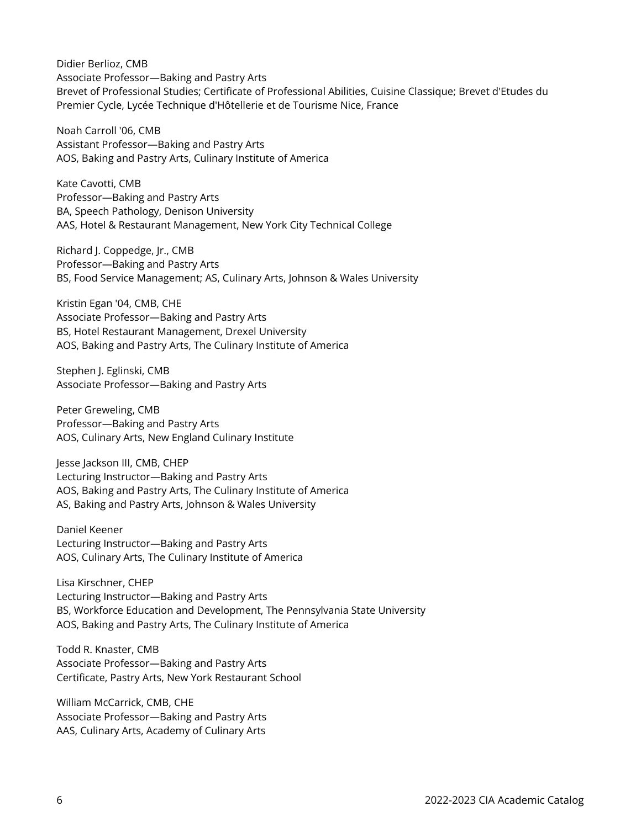Didier Berlioz, CMB Associate Professor—Baking and Pastry Arts Brevet of Professional Studies; Certificate of Professional Abilities, Cuisine Classique; Brevet d'Etudes du Premier Cycle, Lycée Technique d'Hôtellerie et de Tourisme Nice, France

Noah Carroll '06, CMB Assistant Professor—Baking and Pastry Arts AOS, Baking and Pastry Arts, Culinary Institute of America

Kate Cavotti, CMB Professor—Baking and Pastry Arts BA, Speech Pathology, Denison University AAS, Hotel & Restaurant Management, New York City Technical College

Richard J. Coppedge, Jr., CMB Professor—Baking and Pastry Arts BS, Food Service Management; AS, Culinary Arts, Johnson & Wales University

Kristin Egan '04, CMB, CHE Associate Professor—Baking and Pastry Arts BS, Hotel Restaurant Management, Drexel University AOS, Baking and Pastry Arts, The Culinary Institute of America

Stephen J. Eglinski, CMB Associate Professor—Baking and Pastry Arts

Peter Greweling, CMB Professor—Baking and Pastry Arts AOS, Culinary Arts, New England Culinary Institute

Jesse Jackson III, CMB, CHEP Lecturing Instructor—Baking and Pastry Arts AOS, Baking and Pastry Arts, The Culinary Institute of America AS, Baking and Pastry Arts, Johnson & Wales University

Daniel Keener Lecturing Instructor—Baking and Pastry Arts AOS, Culinary Arts, The Culinary Institute of America

Lisa Kirschner, CHEP Lecturing Instructor—Baking and Pastry Arts BS, Workforce Education and Development, The Pennsylvania State University AOS, Baking and Pastry Arts, The Culinary Institute of America

Todd R. Knaster, CMB Associate Professor—Baking and Pastry Arts Certificate, Pastry Arts, New York Restaurant School

William McCarrick, CMB, CHE Associate Professor—Baking and Pastry Arts AAS, Culinary Arts, Academy of Culinary Arts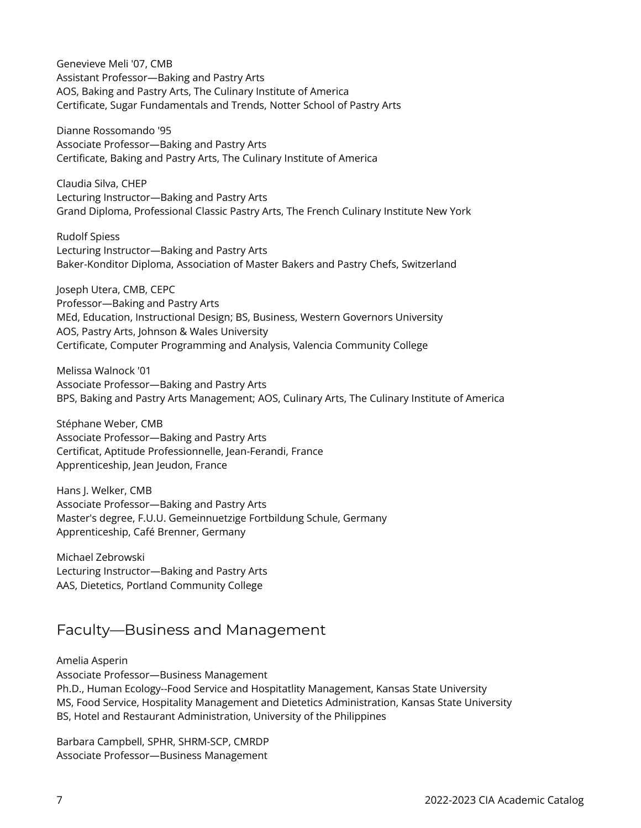Genevieve Meli '07, CMB Assistant Professor—Baking and Pastry Arts AOS, Baking and Pastry Arts, The Culinary Institute of America Certificate, Sugar Fundamentals and Trends, Notter School of Pastry Arts

Dianne Rossomando '95 Associate Professor—Baking and Pastry Arts Certificate, Baking and Pastry Arts, The Culinary Institute of America

Claudia Silva, CHEP Lecturing Instructor—Baking and Pastry Arts Grand Diploma, Professional Classic Pastry Arts, The French Culinary Institute New York

Rudolf Spiess Lecturing Instructor—Baking and Pastry Arts Baker-Konditor Diploma, Association of Master Bakers and Pastry Chefs, Switzerland

Joseph Utera, CMB, CEPC Professor—Baking and Pastry Arts MEd, Education, Instructional Design; BS, Business, Western Governors University AOS, Pastry Arts, Johnson & Wales University Certificate, Computer Programming and Analysis, Valencia Community College

Melissa Walnock '01 Associate Professor—Baking and Pastry Arts BPS, Baking and Pastry Arts Management; AOS, Culinary Arts, The Culinary Institute of America

Stéphane Weber, CMB Associate Professor—Baking and Pastry Arts Certificat, Aptitude Professionnelle, Jean-Ferandi, France Apprenticeship, Jean Jeudon, France

Hans J. Welker, CMB Associate Professor—Baking and Pastry Arts Master's degree, F.U.U. Gemeinnuetzige Fortbildung Schule, Germany Apprenticeship, Café Brenner, Germany

Michael Zebrowski Lecturing Instructor—Baking and Pastry Arts AAS, Dietetics, Portland Community College

#### Faculty—Business and Management

Amelia Asperin Associate Professor—Business Management Ph.D., Human Ecology--Food Service and Hospitatlity Management, Kansas State University MS, Food Service, Hospitality Management and Dietetics Administration, Kansas State University BS, Hotel and Restaurant Administration, University of the Philippines

Barbara Campbell, SPHR, SHRM-SCP, CMRDP Associate Professor—Business Management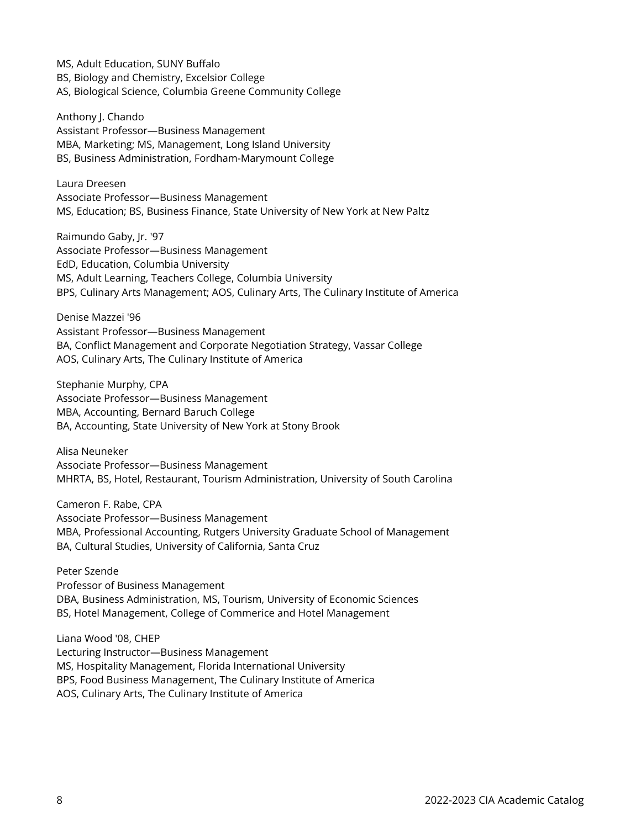MS, Adult Education, SUNY Buffalo BS, Biology and Chemistry, Excelsior College AS, Biological Science, Columbia Greene Community College

Anthony J. Chando Assistant Professor—Business Management MBA, Marketing; MS, Management, Long Island University BS, Business Administration, Fordham-Marymount College

Laura Dreesen Associate Professor—Business Management MS, Education; BS, Business Finance, State University of New York at New Paltz

Raimundo Gaby, Jr. '97 Associate Professor—Business Management EdD, Education, Columbia University MS, Adult Learning, Teachers College, Columbia University BPS, Culinary Arts Management; AOS, Culinary Arts, The Culinary Institute of America

Denise Mazzei '96 Assistant Professor—Business Management BA, Conflict Management and Corporate Negotiation Strategy, Vassar College AOS, Culinary Arts, The Culinary Institute of America

Stephanie Murphy, CPA Associate Professor—Business Management MBA, Accounting, Bernard Baruch College BA, Accounting, State University of New York at Stony Brook

Alisa Neuneker Associate Professor—Business Management MHRTA, BS, Hotel, Restaurant, Tourism Administration, University of South Carolina

Cameron F. Rabe, CPA Associate Professor—Business Management MBA, Professional Accounting, Rutgers University Graduate School of Management BA, Cultural Studies, University of California, Santa Cruz

#### Peter Szende

Professor of Business Management DBA, Business Administration, MS, Tourism, University of Economic Sciences BS, Hotel Management, College of Commerice and Hotel Management

Liana Wood '08, CHEP Lecturing Instructor—Business Management MS, Hospitality Management, Florida International University BPS, Food Business Management, The Culinary Institute of America AOS, Culinary Arts, The Culinary Institute of America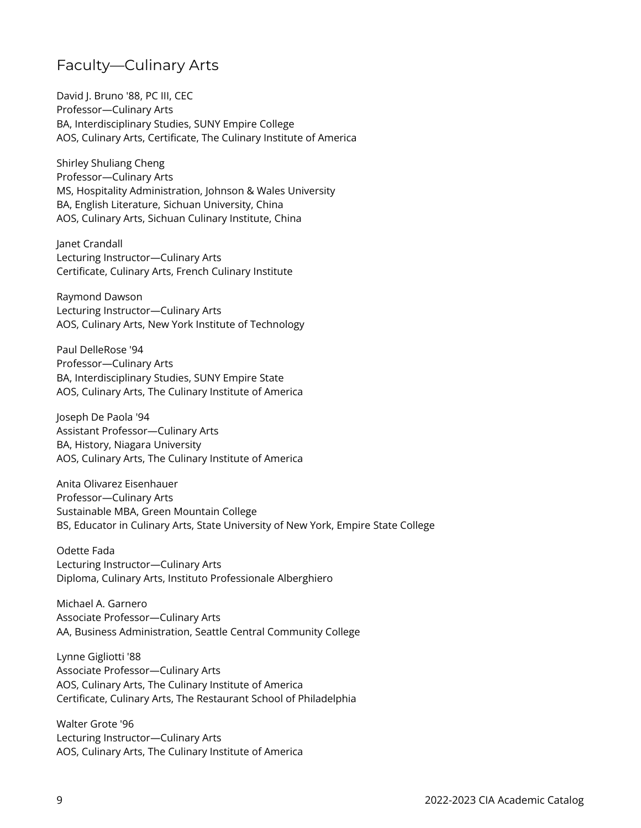#### Faculty—Culinary Arts

David J. Bruno '88, PC III, CEC Professor—Culinary Arts BA, Interdisciplinary Studies, SUNY Empire College AOS, Culinary Arts, Certificate, The Culinary Institute of America

Shirley Shuliang Cheng Professor—Culinary Arts MS, Hospitality Administration, Johnson & Wales University BA, English Literature, Sichuan University, China AOS, Culinary Arts, Sichuan Culinary Institute, China

Janet Crandall Lecturing Instructor—Culinary Arts Certificate, Culinary Arts, French Culinary Institute

Raymond Dawson Lecturing Instructor—Culinary Arts AOS, Culinary Arts, New York Institute of Technology

Paul DelleRose '94 Professor—Culinary Arts BA, Interdisciplinary Studies, SUNY Empire State AOS, Culinary Arts, The Culinary Institute of America

Joseph De Paola '94 Assistant Professor—Culinary Arts BA, History, Niagara University AOS, Culinary Arts, The Culinary Institute of America

Anita Olivarez Eisenhauer Professor—Culinary Arts Sustainable MBA, Green Mountain College BS, Educator in Culinary Arts, State University of New York, Empire State College

Odette Fada Lecturing Instructor—Culinary Arts Diploma, Culinary Arts, Instituto Professionale Alberghiero

Michael A. Garnero Associate Professor—Culinary Arts AA, Business Administration, Seattle Central Community College

Lynne Gigliotti '88 Associate Professor—Culinary Arts AOS, Culinary Arts, The Culinary Institute of America Certificate, Culinary Arts, The Restaurant School of Philadelphia

Walter Grote '96 Lecturing Instructor—Culinary Arts AOS, Culinary Arts, The Culinary Institute of America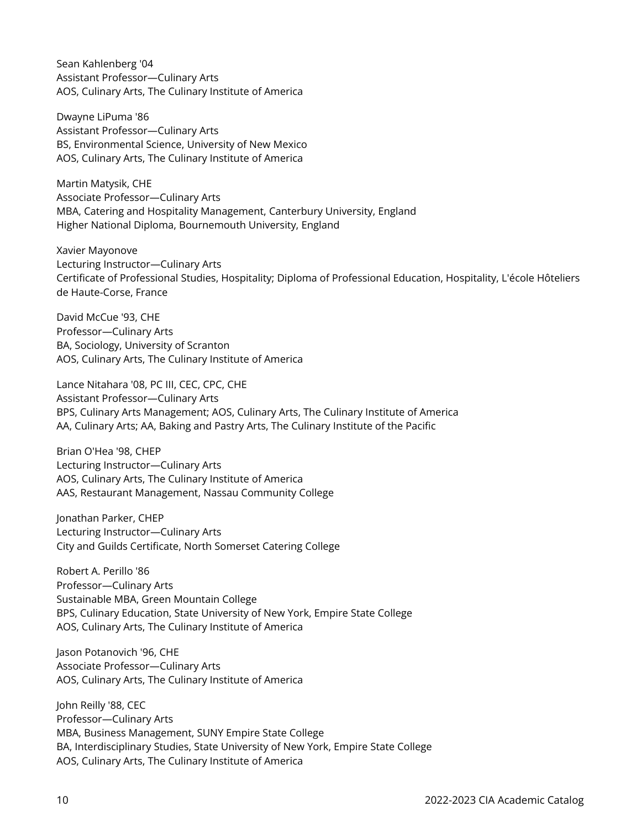Sean Kahlenberg '04 Assistant Professor—Culinary Arts AOS, Culinary Arts, The Culinary Institute of America

Dwayne LiPuma '86 Assistant Professor—Culinary Arts BS, Environmental Science, University of New Mexico AOS, Culinary Arts, The Culinary Institute of America

Martin Matysik, CHE Associate Professor—Culinary Arts MBA, Catering and Hospitality Management, Canterbury University, England Higher National Diploma, Bournemouth University, England

Xavier Mayonove Lecturing Instructor—Culinary Arts Certificate of Professional Studies, Hospitality; Diploma of Professional Education, Hospitality, L'école Hôteliers de Haute-Corse, France

David McCue '93, CHE Professor—Culinary Arts BA, Sociology, University of Scranton AOS, Culinary Arts, The Culinary Institute of America

Lance Nitahara '08, PC III, CEC, CPC, CHE Assistant Professor—Culinary Arts BPS, Culinary Arts Management; AOS, Culinary Arts, The Culinary Institute of America AA, Culinary Arts; AA, Baking and Pastry Arts, The Culinary Institute of the Pacific

Brian O'Hea '98, CHEP Lecturing Instructor—Culinary Arts AOS, Culinary Arts, The Culinary Institute of America AAS, Restaurant Management, Nassau Community College

Jonathan Parker, CHEP Lecturing Instructor—Culinary Arts City and Guilds Certificate, North Somerset Catering College

Robert A. Perillo '86 Professor—Culinary Arts Sustainable MBA, Green Mountain College BPS, Culinary Education, State University of New York, Empire State College AOS, Culinary Arts, The Culinary Institute of America

Jason Potanovich '96, CHE Associate Professor—Culinary Arts AOS, Culinary Arts, The Culinary Institute of America

John Reilly '88, CEC Professor—Culinary Arts MBA, Business Management, SUNY Empire State College BA, Interdisciplinary Studies, State University of New York, Empire State College AOS, Culinary Arts, The Culinary Institute of America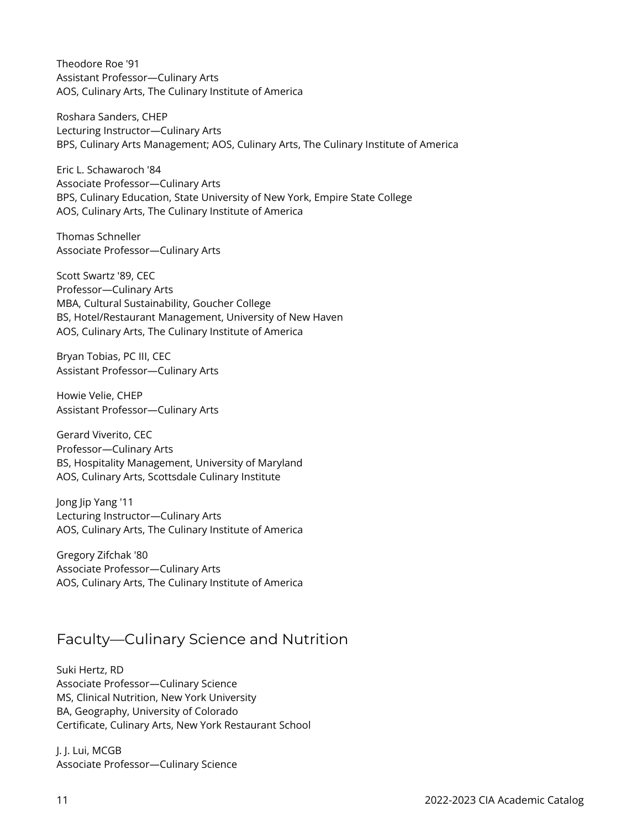Theodore Roe '91 Assistant Professor—Culinary Arts AOS, Culinary Arts, The Culinary Institute of America

Roshara Sanders, CHEP Lecturing Instructor—Culinary Arts BPS, Culinary Arts Management; AOS, Culinary Arts, The Culinary Institute of America

Eric L. Schawaroch '84 Associate Professor—Culinary Arts BPS, Culinary Education, State University of New York, Empire State College AOS, Culinary Arts, The Culinary Institute of America

Thomas Schneller Associate Professor—Culinary Arts

Scott Swartz '89, CEC Professor—Culinary Arts MBA, Cultural Sustainability, Goucher College BS, Hotel/Restaurant Management, University of New Haven AOS, Culinary Arts, The Culinary Institute of America

Bryan Tobias, PC III, CEC Assistant Professor—Culinary Arts

Howie Velie, CHEP Assistant Professor—Culinary Arts

Gerard Viverito, CEC Professor—Culinary Arts BS, Hospitality Management, University of Maryland AOS, Culinary Arts, Scottsdale Culinary Institute

Jong Jip Yang '11 Lecturing Instructor—Culinary Arts AOS, Culinary Arts, The Culinary Institute of America

Gregory Zifchak '80 Associate Professor—Culinary Arts AOS, Culinary Arts, The Culinary Institute of America

#### Faculty—Culinary Science and Nutrition

Suki Hertz, RD Associate Professor—Culinary Science MS, Clinical Nutrition, New York University BA, Geography, University of Colorado Certificate, Culinary Arts, New York Restaurant School

J. J. Lui, MCGB Associate Professor—Culinary Science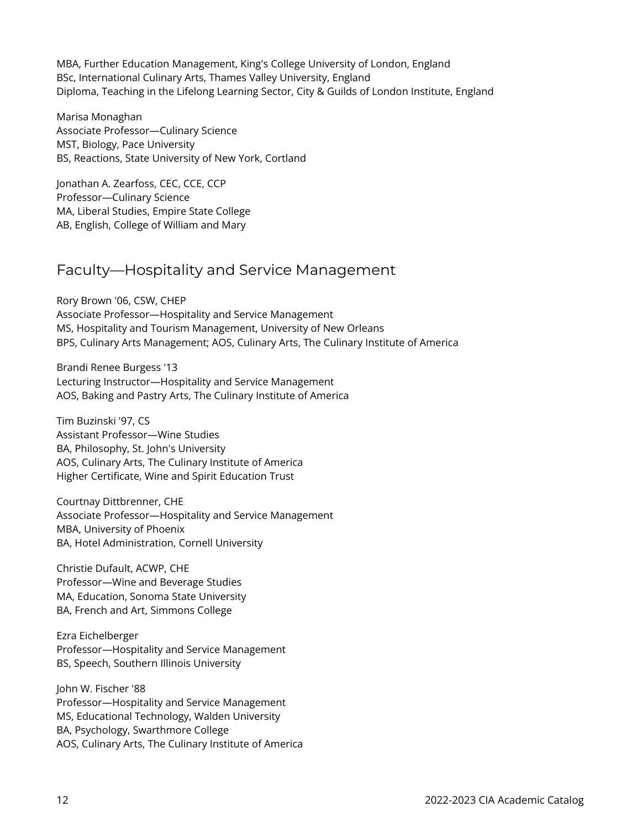MBA, Further Education Management, King's College University of London, England BSc, International Culinary Arts, Thames Valley University, England Diploma, Teaching in the Lifelong Learning Sector, City & Guilds of London Institute, England

Marisa Monaghan Associate Professor—Culinary Science MST, Biology, Pace University BS, Reactions, State University of New York, Cortland

Jonathan A. Zearfoss, CEC, CCE, CCP Professor—Culinary Science MA, Liberal Studies, Empire State College AB, English, College of William and Mary

#### Faculty—Hospitality and Service Management

Rory Brown '06, CSW, CHEP Associate Professor—Hospitality and Service Management MS, Hospitality and Tourism Management, University of New Orleans BPS, Culinary Arts Management; AOS, Culinary Arts, The Culinary Institute of America

Brandi Renee Burgess '13 Lecturing Instructor—Hospitality and Service Management AOS, Baking and Pastry Arts, The Culinary Institute of America

Tim Buzinski '97, CS Assistant Professor—Wine Studies BA, Philosophy, St. John's University AOS, Culinary Arts, The Culinary Institute of America Higher Certificate, Wine and Spirit Education Trust

Courtnay Dittbrenner, CHE Associate Professor—Hospitality and Service Management MBA, University of Phoenix BA, Hotel Administration, Cornell University

Christie Dufault, ACWP, CHE Professor—Wine and Beverage Studies MA, Education, Sonoma State University BA, French and Art, Simmons College

Ezra Eichelberger Professor—Hospitality and Service Management BS, Speech, Southern Illinois University

John W. Fischer '88 Professor—Hospitality and Service Management MS, Educational Technology, Walden University BA, Psychology, Swarthmore College AOS, Culinary Arts, The Culinary Institute of America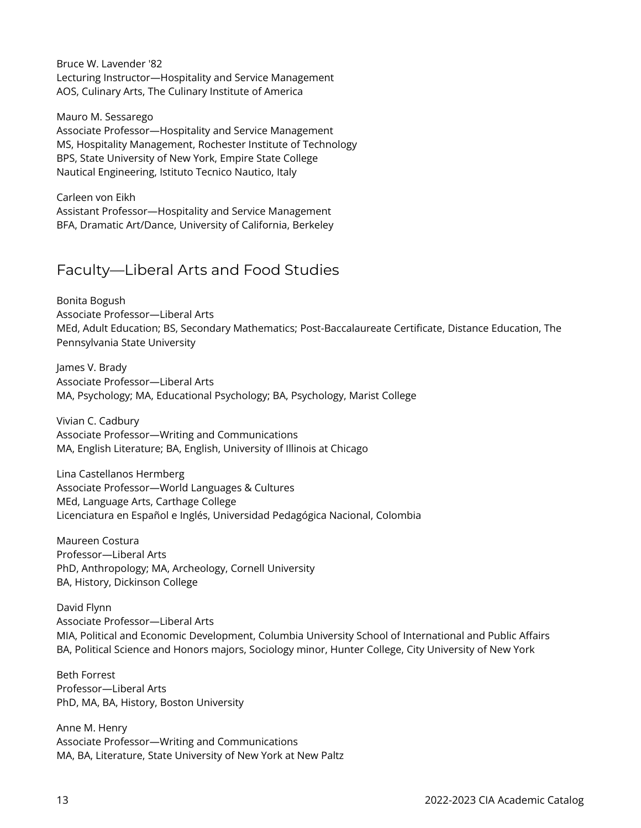Bruce W. Lavender '82 Lecturing Instructor—Hospitality and Service Management AOS, Culinary Arts, The Culinary Institute of America

Mauro M. Sessarego Associate Professor—Hospitality and Service Management MS, Hospitality Management, Rochester Institute of Technology BPS, State University of New York, Empire State College Nautical Engineering, Istituto Tecnico Nautico, Italy

Carleen von Eikh Assistant Professor—Hospitality and Service Management BFA, Dramatic Art/Dance, University of California, Berkeley

### Faculty—Liberal Arts and Food Studies

Bonita Bogush Associate Professor—Liberal Arts MEd, Adult Education; BS, Secondary Mathematics; Post-Baccalaureate Certificate, Distance Education, The Pennsylvania State University

James V. Brady Associate Professor—Liberal Arts MA, Psychology; MA, Educational Psychology; BA, Psychology, Marist College

Vivian C. Cadbury Associate Professor—Writing and Communications MA, English Literature; BA, English, University of Illinois at Chicago

Lina Castellanos Hermberg Associate Professor—World Languages & Cultures MEd, Language Arts, Carthage College Licenciatura en Español e Inglés, Universidad Pedagógica Nacional, Colombia

Maureen Costura Professor—Liberal Arts PhD, Anthropology; MA, Archeology, Cornell University BA, History, Dickinson College

David Flynn Associate Professor—Liberal Arts MIA, Political and Economic Development, Columbia University School of International and Public Affairs BA, Political Science and Honors majors, Sociology minor, Hunter College, City University of New York

Beth Forrest Professor—Liberal Arts PhD, MA, BA, History, Boston University

Anne M. Henry Associate Professor—Writing and Communications MA, BA, Literature, State University of New York at New Paltz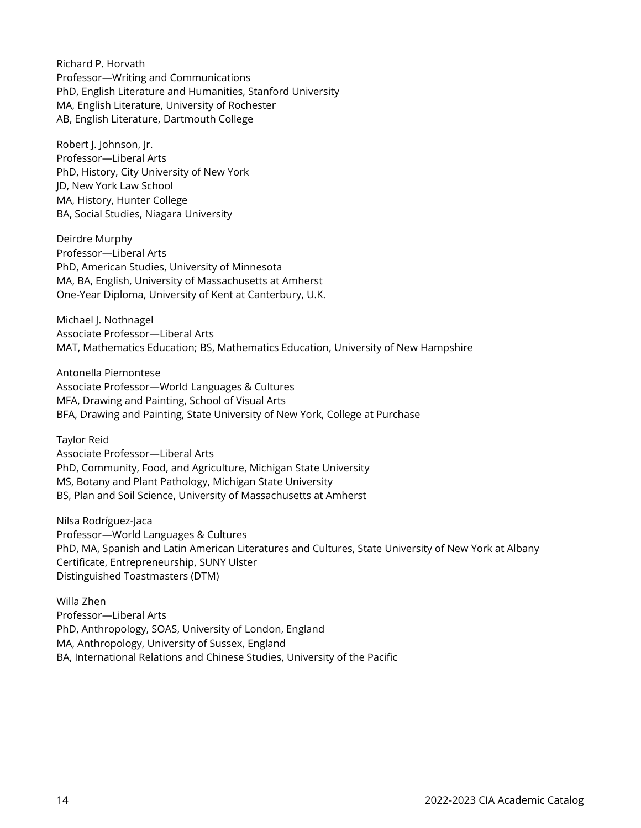Richard P. Horvath Professor—Writing and Communications PhD, English Literature and Humanities, Stanford University MA, English Literature, University of Rochester AB, English Literature, Dartmouth College

Robert J. Johnson, Jr. Professor—Liberal Arts PhD, History, City University of New York JD, New York Law School MA, History, Hunter College BA, Social Studies, Niagara University

Deirdre Murphy Professor—Liberal Arts PhD, American Studies, University of Minnesota MA, BA, English, University of Massachusetts at Amherst One-Year Diploma, University of Kent at Canterbury, U.K.

Michael J. Nothnagel Associate Professor—Liberal Arts MAT, Mathematics Education; BS, Mathematics Education, University of New Hampshire

Antonella Piemontese Associate Professor—World Languages & Cultures MFA, Drawing and Painting, School of Visual Arts BFA, Drawing and Painting, State University of New York, College at Purchase

Taylor Reid Associate Professor—Liberal Arts PhD, Community, Food, and Agriculture, Michigan State University MS, Botany and Plant Pathology, Michigan State University BS, Plan and Soil Science, University of Massachusetts at Amherst

Nilsa Rodríguez-Jaca Professor—World Languages & Cultures PhD, MA, Spanish and Latin American Literatures and Cultures, State University of New York at Albany Certificate, Entrepreneurship, SUNY Ulster Distinguished Toastmasters (DTM)

Willa Zhen Professor—Liberal Arts PhD, Anthropology, SOAS, University of London, England MA, Anthropology, University of Sussex, England BA, International Relations and Chinese Studies, University of the Pacific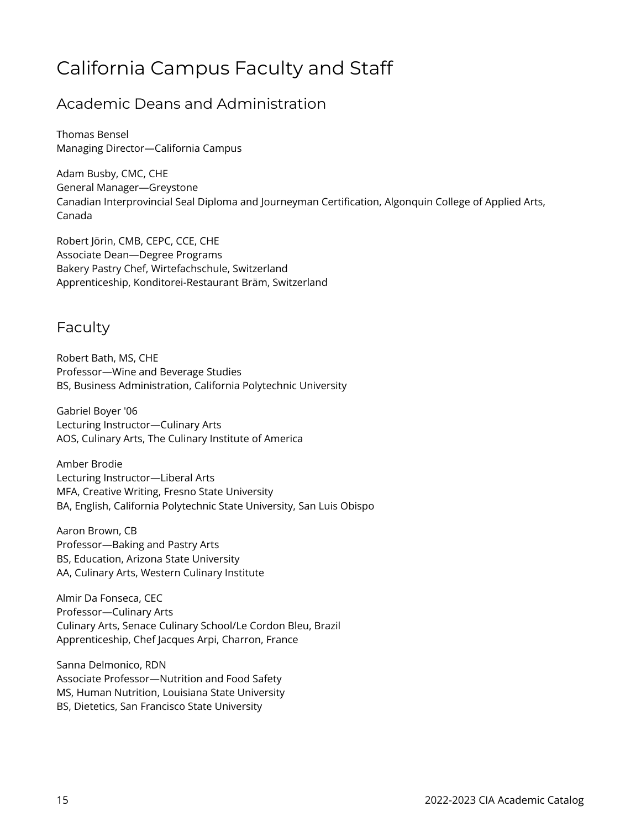### California Campus Faculty and Staff

#### Academic Deans and Administration

Thomas Bensel Managing Director—California Campus

Adam Busby, CMC, CHE General Manager—Greystone Canadian Interprovincial Seal Diploma and Journeyman Certification, Algonquin College of Applied Arts, Canada

Robert Jörin, CMB, CEPC, CCE, CHE Associate Dean—Degree Programs Bakery Pastry Chef, Wirtefachschule, Switzerland Apprenticeship, Konditorei-Restaurant Bräm, Switzerland

#### Faculty

Robert Bath, MS, CHE Professor—Wine and Beverage Studies BS, Business Administration, California Polytechnic University

Gabriel Boyer '06 Lecturing Instructor—Culinary Arts AOS, Culinary Arts, The Culinary Institute of America

Amber Brodie Lecturing Instructor—Liberal Arts MFA, Creative Writing, Fresno State University BA, English, California Polytechnic State University, San Luis Obispo

Aaron Brown, CB Professor—Baking and Pastry Arts BS, Education, Arizona State University AA, Culinary Arts, Western Culinary Institute

Almir Da Fonseca, CEC Professor—Culinary Arts Culinary Arts, Senace Culinary School/Le Cordon Bleu, Brazil Apprenticeship, Chef Jacques Arpi, Charron, France

Sanna Delmonico, RDN Associate Professor—Nutrition and Food Safety MS, Human Nutrition, Louisiana State University BS, Dietetics, San Francisco State University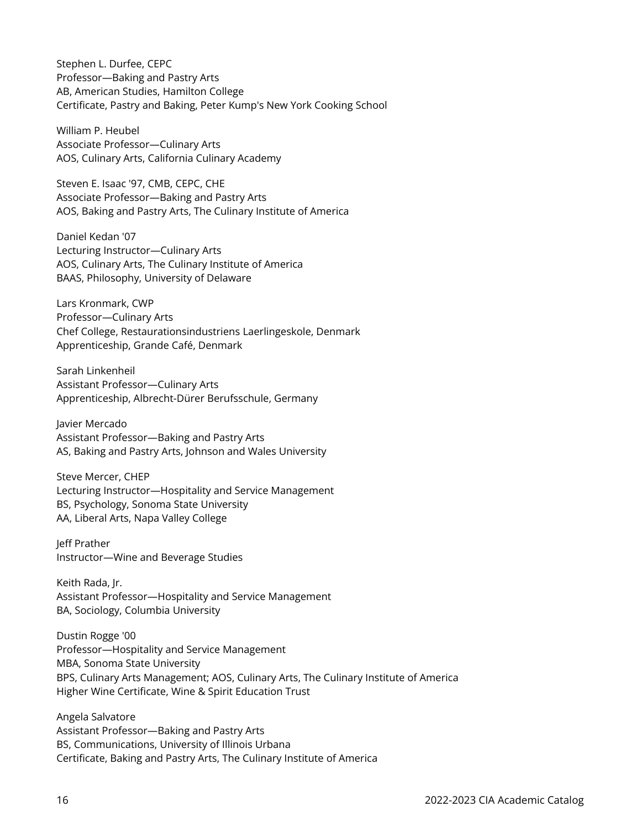Stephen L. Durfee, CEPC Professor—Baking and Pastry Arts AB, American Studies, Hamilton College Certificate, Pastry and Baking, Peter Kump's New York Cooking School

William P. Heubel Associate Professor—Culinary Arts AOS, Culinary Arts, California Culinary Academy

Steven E. Isaac '97, CMB, CEPC, CHE Associate Professor—Baking and Pastry Arts AOS, Baking and Pastry Arts, The Culinary Institute of America

Daniel Kedan '07 Lecturing Instructor—Culinary Arts AOS, Culinary Arts, The Culinary Institute of America BAAS, Philosophy, University of Delaware

Lars Kronmark, CWP Professor—Culinary Arts Chef College, Restaurationsindustriens Laerlingeskole, Denmark Apprenticeship, Grande Café, Denmark

Sarah Linkenheil Assistant Professor—Culinary Arts Apprenticeship, Albrecht-Dürer Berufsschule, Germany

Javier Mercado Assistant Professor—Baking and Pastry Arts AS, Baking and Pastry Arts, Johnson and Wales University

Steve Mercer, CHEP Lecturing Instructor—Hospitality and Service Management BS, Psychology, Sonoma State University AA, Liberal Arts, Napa Valley College

Jeff Prather Instructor—Wine and Beverage Studies

Keith Rada, Jr. Assistant Professor—Hospitality and Service Management BA, Sociology, Columbia University

Dustin Rogge '00 Professor—Hospitality and Service Management MBA, Sonoma State University BPS, Culinary Arts Management; AOS, Culinary Arts, The Culinary Institute of America Higher Wine Certificate, Wine & Spirit Education Trust

Angela Salvatore Assistant Professor—Baking and Pastry Arts BS, Communications, University of Illinois Urbana Certificate, Baking and Pastry Arts, The Culinary Institute of America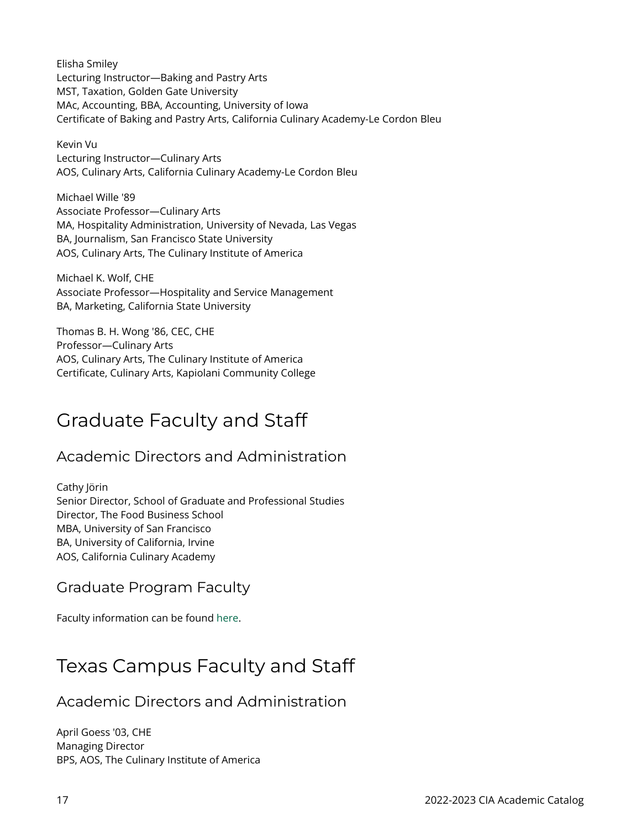Elisha Smiley Lecturing Instructor—Baking and Pastry Arts MST, Taxation, Golden Gate University MAc, Accounting, BBA, Accounting, University of Iowa Certificate of Baking and Pastry Arts, California Culinary Academy-Le Cordon Bleu

Kevin Vu Lecturing Instructor—Culinary Arts AOS, Culinary Arts, California Culinary Academy-Le Cordon Bleu

Michael Wille '89 Associate Professor—Culinary Arts MA, Hospitality Administration, University of Nevada, Las Vegas BA, Journalism, San Francisco State University AOS, Culinary Arts, The Culinary Institute of America

Michael K. Wolf, CHE Associate Professor—Hospitality and Service Management BA, Marketing, California State University

Thomas B. H. Wong '86, CEC, CHE Professor—Culinary Arts AOS, Culinary Arts, The Culinary Institute of America Certificate, Culinary Arts, Kapiolani Community College

### Graduate Faculty and Staff

#### Academic Directors and Administration

Cathy Jörin Senior Director, School of Graduate and Professional Studies Director, The Food Business School MBA, University of San Francisco BA, University of California, Irvine AOS, California Culinary Academy

#### Graduate Program Faculty

Faculty information can be found [here.](https://www.ciachef.edu/cia-online-masters-faculty-bios/)

### Texas Campus Faculty and Staff

Academic Directors and Administration

April Goess '03, CHE Managing Director BPS, AOS, The Culinary Institute of America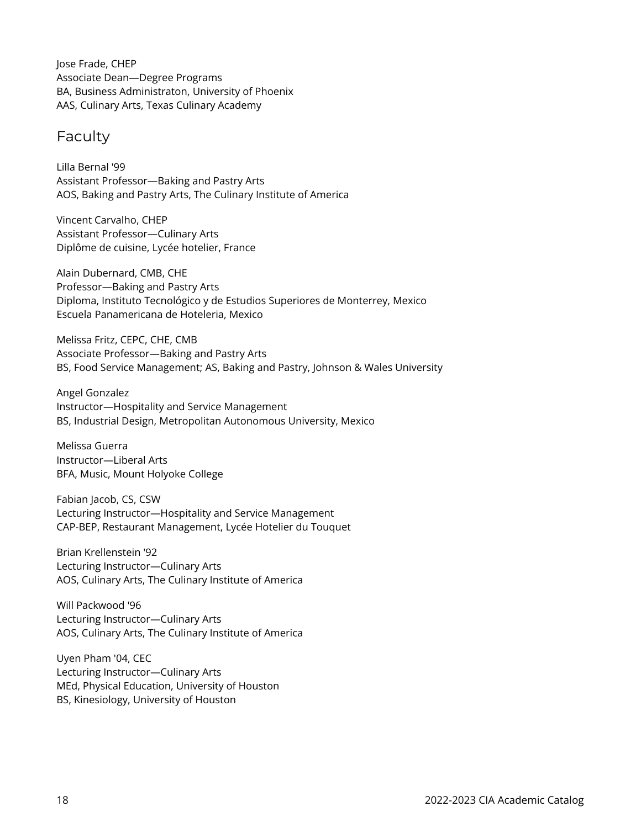Jose Frade, CHEP Associate Dean—Degree Programs BA, Business Administraton, University of Phoenix AAS, Culinary Arts, Texas Culinary Academy

#### Faculty

Lilla Bernal '99 Assistant Professor—Baking and Pastry Arts AOS, Baking and Pastry Arts, The Culinary Institute of America

Vincent Carvalho, CHEP Assistant Professor—Culinary Arts Diplôme de cuisine, Lycée hotelier, France

Alain Dubernard, CMB, CHE Professor—Baking and Pastry Arts Diploma, Instituto Tecnológico y de Estudios Superiores de Monterrey, Mexico Escuela Panamericana de Hoteleria, Mexico

Melissa Fritz, CEPC, CHE, CMB Associate Professor—Baking and Pastry Arts BS, Food Service Management; AS, Baking and Pastry, Johnson & Wales University

Angel Gonzalez Instructor—Hospitality and Service Management BS, Industrial Design, Metropolitan Autonomous University, Mexico

Melissa Guerra Instructor—Liberal Arts BFA, Music, Mount Holyoke College

Fabian Jacob, CS, CSW Lecturing Instructor—Hospitality and Service Management CAP-BEP, Restaurant Management, Lycée Hotelier du Touquet

Brian Krellenstein '92 Lecturing Instructor—Culinary Arts AOS, Culinary Arts, The Culinary Institute of America

Will Packwood '96 Lecturing Instructor—Culinary Arts AOS, Culinary Arts, The Culinary Institute of America

Uyen Pham '04, CEC Lecturing Instructor—Culinary Arts MEd, Physical Education, University of Houston BS, Kinesiology, University of Houston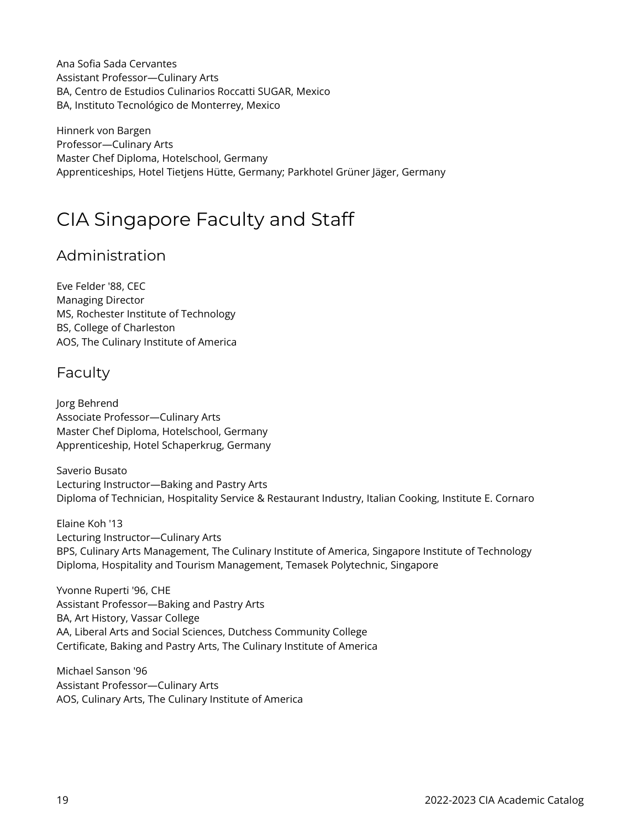Ana Sofia Sada Cervantes Assistant Professor—Culinary Arts BA, Centro de Estudios Culinarios Roccatti SUGAR, Mexico BA, Instituto Tecnológico de Monterrey, Mexico

Hinnerk von Bargen Professor—Culinary Arts Master Chef Diploma, Hotelschool, Germany Apprenticeships, Hotel Tietjens Hütte, Germany; Parkhotel Grüner Jäger, Germany

### CIA Singapore Faculty and Staff

#### Administration

Eve Felder '88, CEC Managing Director MS, Rochester Institute of Technology BS, College of Charleston AOS, The Culinary Institute of America

#### Faculty

Jorg Behrend Associate Professor—Culinary Arts Master Chef Diploma, Hotelschool, Germany Apprenticeship, Hotel Schaperkrug, Germany

Saverio Busato Lecturing Instructor—Baking and Pastry Arts Diploma of Technician, Hospitality Service & Restaurant Industry, Italian Cooking, Institute E. Cornaro

Elaine Koh '13 Lecturing Instructor—Culinary Arts BPS, Culinary Arts Management, The Culinary Institute of America, Singapore Institute of Technology Diploma, Hospitality and Tourism Management, Temasek Polytechnic, Singapore

Yvonne Ruperti '96, CHE Assistant Professor—Baking and Pastry Arts BA, Art History, Vassar College AA, Liberal Arts and Social Sciences, Dutchess Community College Certificate, Baking and Pastry Arts, The Culinary Institute of America

Michael Sanson '96 Assistant Professor—Culinary Arts AOS, Culinary Arts, The Culinary Institute of America